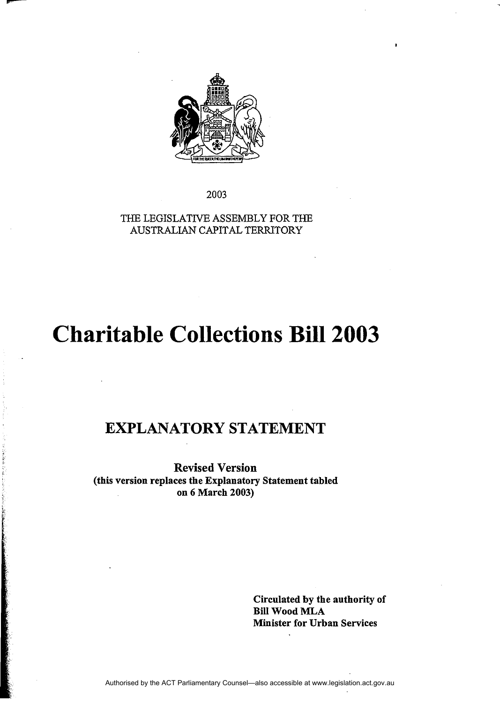

--

2003

THE LEGISLATNE ASSEMBLY FOR THE AUSTRALIAN CAPITAL TERRITORY

# **Charitable Collections Bill 2003**

# EXPLANATORY STATEMENT

Revised Version (this version replaces the Explanatory Statement tabled on 6 March 2003)

> Circulated by the authority of Bill Wood MLA Minister for Urban Services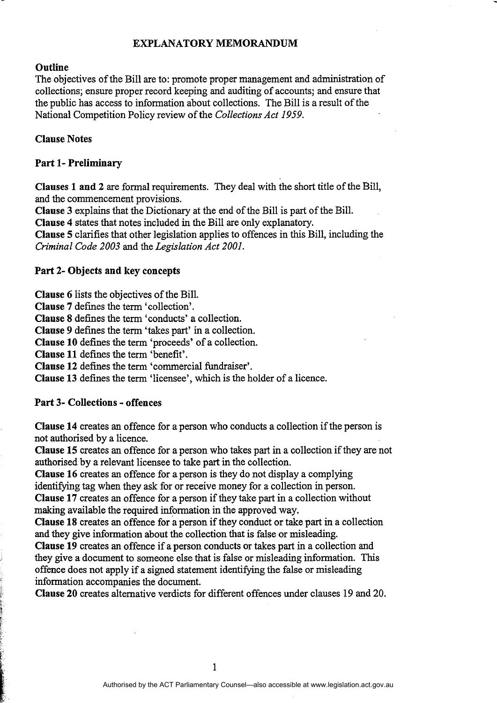#### EXPLANATORY MEMORANDUM

#### **Outline**

The objectives of the Bill are to: promote proper management and administration of collections; ensure proper record keeping and auditing of accounts; and ensure that the public has access to information about collections. The Bill is a result of the National Competition Policy review of the *Collections Act 1959.* 

#### Clause Notes

#### Part 1- Preliminary

Clauses 1 and 2 are formal requirements. They deal with the short title of the Bill, and the commencement provisions.

Clause 3 explains that the Dictionary at the end of the Bill is part of the Bill.

Clause 4 states that notes included in the Bill are only explanatory.

Clause 5 clarifies that other legislation applies to offences in this Bill, including the *Criminal Code 2003* and the *Legislation Act 2001.* 

#### Part 2- Objects and key concepts

Clause 6 lists the objectives of the Bill.

Clause 7 defines the term 'collection'.

Clause 8 defines the term 'conducts' a collection.

Clause 9 defines the term 'takes part' in a collection.

Clause 10 defines the term 'proceeds' of a collection.

Clause 11 defines the term 'benefit'.

Clause 12 defines the term 'commercial fundraiser'.

Clause 13 defines the term 'licensee', which is the holder of a licence.

#### Part 3- Collections - offences

F  $\frac{\mathbb{R}}{\mathbb{R}^n}$ ,. i •

Clause 14 creates an offence for a person who conducts a collection if the person is not authorised by a licence.

Clause 15 creates an offence for a person who takes part in a collection if they are not authorised by a relevant licensee to take part in the collection.

Clause 16 creates an offence for a person is they do not display a complying identifying tag when they ask for or receive money for a collection in person. Clause 17 creates an offence for a person if they take part in a collection without making available the required information in the approved way.

Clause 18 creates an offence for a person if they conduct or take part in a collection

and they give information about the collection that is false or misleading.

Clause 19 creates an offence if a person conducts or takes part in a collection and they give a document to someone else that is false or misleading information. This offence does not apply if a signed statement identifying the false or misleading information accompanies the document.

Clause 20 creates alternative verdicts for different offences under clauses 19 and 20.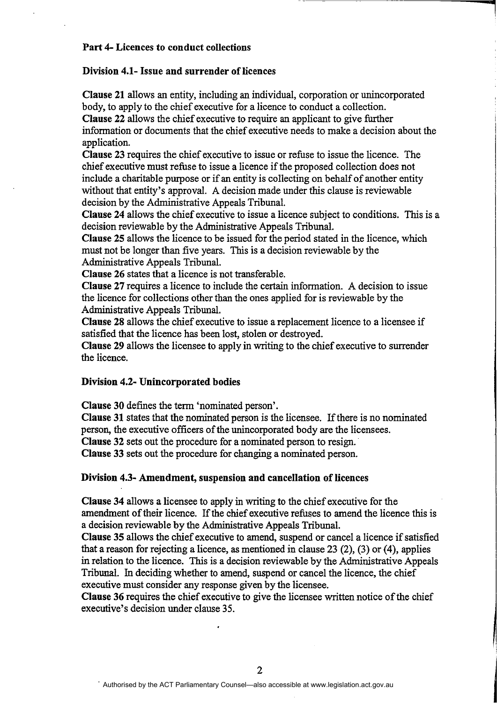#### Part 4- Licences to conduct collections

#### Division 4.1- Issue and surrender of licences

Clause 21 allows an entity, including an individual, corporation or unincorporated body, to apply to the chief executive for a licence to conduct a collection. Clause 22 allows the chief executive to require an applicant to give further

**1** 

information or docmnents that the chief executive needs to make a decision about the application.

Clause 23 requires the chief executive to issue or refuse to issue the licence. The chief executive must refuse to issue a licence if the proposed collection does not include a charitable purpose or if an entity is collecting on behalf of another entity without that entity's approval. A decision made under this clause is reviewable decision by the Administrative Appeals Tribunal.

Clause 24 allows the chief executive to issue a licence subject to conditions. This is a decision reviewable by the Administrative Appeals Tribunal.

Clause 25 allows the licence to be issued for the period stated in the licence, which must not be longer than five years. This is a decision reviewable by the Administrative Appeals Tribunal.

Clause 26 states that a licence is not transferable.

Clause 27 requires a licence to include the certain information. A decision to issue the licence for collections other than the ones applied for is reviewable by the Administrative Appeals Tribunal.

Clause 28 allows the chief executive to issue a replacement licence to a licensee if satisfied that the licence has been lost, stolen or destroyed.

Clause 29 allows the licensee to apply in writing to the chief executive to surrender the licence.

#### Division 4.2- Unincorporated bodies

Clause 30 defines the term 'nominated person'.

Clause 31 states that the nominated person is the licensee. If there is no nominated person, the executive officers of the unincorporated body are the licensees.

Clause 32 sets out the procedure for a nominated person to resign.

Clause 33 sets out the procedure for changing a nominated person.

#### Division 4.3- Amendment, suspension and cancellation of licences

Clause 34 allows a licensee to apply in writing to the chief executive for the amendment of their licence. If the chief executive refuses to amend the licence this is a decision reviewable by the Administrative Appeals Tribunal.

Clause 35 allows the chief executive to amend, suspend or cancel a licence if satisfied that a reason for rejecting a licence, as mentioned in clause 23  $(2)$ ,  $(3)$  or  $(4)$ , applies in relation to the licence. This is a decision reviewable by the Administrative Appeals Tribunal. In deciding whether to amend, suspend or cancel the licence, the chief executive must consider any response given by the licensee.

Clause 36 requires the chief executive to give the licensee written notice of the chief executive's decision under clause 35.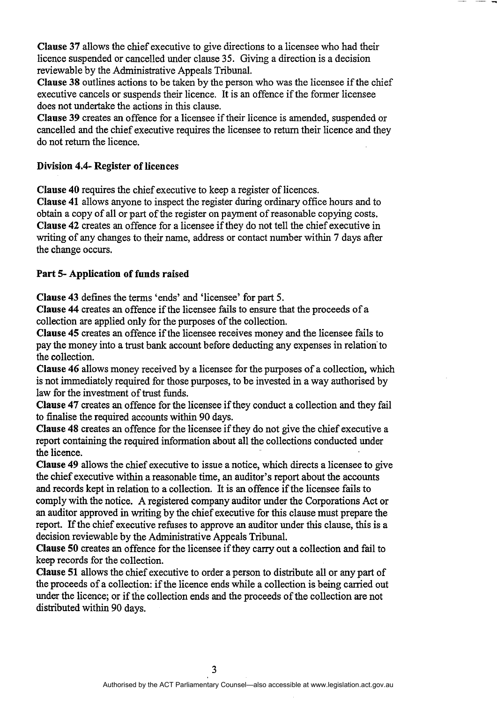Clause 37 allows the chief executive to give directions to a licensee who had their licence suspended or cancelled under clause 35. Giving a direction is a decision reviewable by the Administrative Appeals Tribunal.

Clause 38 outlines actions to be taken by the person who was the licensee if the chief executive cancels or suspends their licence. It is an offence if the former licensee does not undertake the actions in this clause.

Clause 39 creates an offence for a licensee if their licence is amended, suspended or cancelled and the chief executive requires the licensee to return their licence and they do not return the licence.

# Division 4.4- Register of licences

Clause 40 requires the chief executive to keep a register of licences.

Clause 41 allows anyone to inspect the register during ordinary office hours and to obtain a copy of all or part of the register on payment of reasonable copying costs. Clause 42 creates an offence for a licensee if they do not tell the chief executive in writing of any changes to their name, address or contact number within 7 days after the change occurs.

# Part 5- Application of funds raised

Clause 43 defines the terms 'ends' and 'licensee' for part 5.

Clause 44 creates an offence if the licensee fails to ensure that the proceeds of a collection are applied only for the purposes of the collection.

Clause 45 creates an offence if the licensee receives money and the licensee fails to pay the money into a trust bank account before deducting any expenses in relation-to the collection.

Clause 46 allows money received by a licensee for the purposes of a collection, which is not immediately required for those purposes, to be invested in a way authorised by law for the investment of trust funds.

Clause 47 creates an offence for the licensee if they conduct a collection and they fail to finalise the required accounts within 90 days.

Clause 48 creates an offence for the licensee if they do not give the chief executive a report containing the required information about all the collections conducted under the licence.

Clause 49 allows the chief executive to issue a notice, which directs a licensee to give the chief executive within a reasonable time, an auditor's report about the accounts and records kept in relation to a collection. It is an offence if the licensee fails to comply with the notice. A registered company auditor under the Corporations Act or an auditor approved in writing by the chief executive for this clause must prepare the report. If the chief executive refuses to approve an auditor under this clause, this is a decision reviewable by the Administrative Appeals Tribunal.

Clause 50 creates an offence for the licensee if they carry out a collection and fail to keep records for the collection.

Clause 51 allows the chief executive to order a person to distribute all or any part of the proceeds of a collection: if the licence ends while a collection is being carried out under the licence; or if the collection ends and the proceeds of the collection are not distributed within 90 days.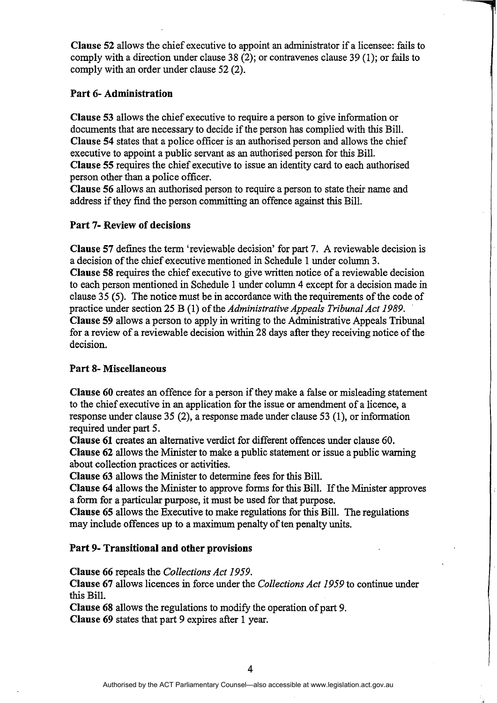Clause 52 allows the chief executive to appoint an administrator if a licensee: fails to comply with a direction under clause 38 (2); or contravenes clause 39 (1); or fails to comply with an order under clause 52 (2).

### Part 6- Administration

Clause 53 allows the chief executive to require a person to give information or documents that are necessary to decide if the person has complied with this Bill. Clause 54 states that a police officer is an authorised person and allows the chief executive to appoint a public servant as an authorised person for this Bill. Clause 55 requires the chief executive to issue an identity card to each authorised person other than a police officer.

Clause 56 allows an authorised person to require a person to state their name and address if they find the person committing an offence against this Bill.

# Part 7- Review of decisions

Clause 57 defmes the term 'reviewable decision' for part 7. A reviewable decision is a decision of the chief executive mentioned in Schedule 1 under column 3. Clause 58 requires the chief executive to give written notice of a reviewable decision to each person mentioned in Schedule 1 under column 4 except for a decision made in clause 35 (5). The notice must be in accordance with the requirements of the code of practice under section 25 B (1) of the *Administrative Appeals Tribunal Act 1989.*  Clause 59 allows a person to apply in writing to the Administrative Appeals Tribunal

for a review of a reviewable decision within 28 days after they receiving notice of the decision.

# Part 8- Miscellaneous

Clause 60 creates an offence for a person if they make a false or misleading statement to the chief executive in an application for the issue or amendment of a licence, a response under clause 35 (2), a response made under clause 53 (1), or information required under part 5.

Clause 61 creates an alternative verdict for different offences under clause 60. Clause 62 allows the Minister to make a public statement or issue a public warning about collection practices or activities.

Clause 63 allows the Minister to determine fees for this Bill.

Clause 64 allows the Minister to approve forms for this Bill. If the Minister approves a form for a particular purpose, it must be used for that purpose.

Clause 65 allows the Executive to make regulations for this Bill. The regulations may include offences up to a maximum penalty of ten penalty units.

# Part 9- Transitional and other provisions

Clause 66 repeals the *Collections Act 1959.* 

Clause 67 allows licences in force under the *Collections Act* 1959 to continue under this Bill.

Clause 68 allows the regulations to modify the operation of part 9. Clause 69 states that part 9 expires after 1 year.